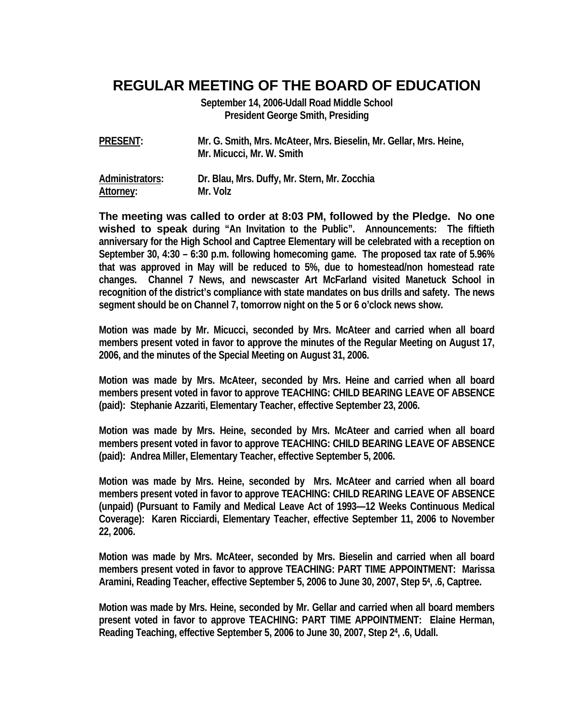## **REGULAR MEETING OF THE BOARD OF EDUCATION**

**September 14, 2006-Udall Road Middle School President George Smith, Presiding** 

| <b>PRESENT:</b> | Mr. G. Smith, Mrs. McAteer, Mrs. Bieselin, Mr. Gellar, Mrs. Heine, |
|-----------------|--------------------------------------------------------------------|
|                 | Mr. Micucci, Mr. W. Smith                                          |

| Administrators: | Dr. Blau, Mrs. Duffy, Mr. Stern, Mr. Zocchia |
|-----------------|----------------------------------------------|
| Attorney:       | Mr. Volz                                     |

**The meeting was called to order at 8:03 PM, followed by the Pledge. No one wished to speak during "An Invitation to the Public". Announcements: The fiftieth anniversary for the High School and Captree Elementary will be celebrated with a reception on September 30, 4:30 – 6:30 p.m. following homecoming game. The proposed tax rate of 5.96% that was approved in May will be reduced to 5%, due to homestead/non homestead rate changes. Channel 7 News, and newscaster Art McFarland visited Manetuck School in recognition of the district's compliance with state mandates on bus drills and safety. The news segment should be on Channel 7, tomorrow night on the 5 or 6 o'clock news show.** 

**Motion was made by Mr. Micucci, seconded by Mrs. McAteer and carried when all board members present voted in favor to approve the minutes of the Regular Meeting on August 17, 2006, and the minutes of the Special Meeting on August 31, 2006.** 

**Motion was made by Mrs. McAteer, seconded by Mrs. Heine and carried when all board members present voted in favor to approve TEACHING: CHILD BEARING LEAVE OF ABSENCE (paid): Stephanie Azzariti, Elementary Teacher, effective September 23, 2006.** 

**Motion was made by Mrs. Heine, seconded by Mrs. McAteer and carried when all board members present voted in favor to approve TEACHING: CHILD BEARING LEAVE OF ABSENCE (paid): Andrea Miller, Elementary Teacher, effective September 5, 2006.** 

**Motion was made by Mrs. Heine, seconded by Mrs. McAteer and carried when all board members present voted in favor to approve TEACHING: CHILD REARING LEAVE OF ABSENCE (unpaid) (Pursuant to Family and Medical Leave Act of 1993—12 Weeks Continuous Medical Coverage): Karen Ricciardi, Elementary Teacher, effective September 11, 2006 to November 22, 2006.** 

**Motion was made by Mrs. McAteer, seconded by Mrs. Bieselin and carried when all board members present voted in favor to approve TEACHING: PART TIME APPOINTMENT: Marissa Aramini, Reading Teacher, effective September 5, 2006 to June 30, 2007, Step 54, .6, Captree.** 

**Motion was made by Mrs. Heine, seconded by Mr. Gellar and carried when all board members present voted in favor to approve TEACHING: PART TIME APPOINTMENT: Elaine Herman, Reading Teaching, effective September 5, 2006 to June 30, 2007, Step 24, .6, Udall.**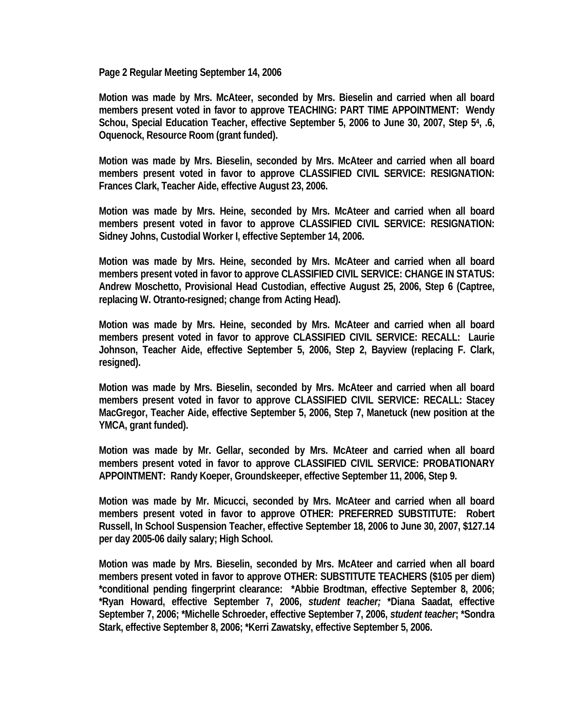**Page 2 Regular Meeting September 14, 2006** 

**Motion was made by Mrs. McAteer, seconded by Mrs. Bieselin and carried when all board members present voted in favor to approve TEACHING: PART TIME APPOINTMENT: Wendy Schou, Special Education Teacher, effective September 5, 2006 to June 30, 2007, Step 54, .6, Oquenock, Resource Room (grant funded).** 

**Motion was made by Mrs. Bieselin, seconded by Mrs. McAteer and carried when all board members present voted in favor to approve CLASSIFIED CIVIL SERVICE: RESIGNATION: Frances Clark, Teacher Aide, effective August 23, 2006.** 

**Motion was made by Mrs. Heine, seconded by Mrs. McAteer and carried when all board members present voted in favor to approve CLASSIFIED CIVIL SERVICE: RESIGNATION: Sidney Johns, Custodial Worker I, effective September 14, 2006.** 

**Motion was made by Mrs. Heine, seconded by Mrs. McAteer and carried when all board members present voted in favor to approve CLASSIFIED CIVIL SERVICE: CHANGE IN STATUS: Andrew Moschetto, Provisional Head Custodian, effective August 25, 2006, Step 6 (Captree, replacing W. Otranto-resigned; change from Acting Head).** 

**Motion was made by Mrs. Heine, seconded by Mrs. McAteer and carried when all board members present voted in favor to approve CLASSIFIED CIVIL SERVICE: RECALL: Laurie Johnson, Teacher Aide, effective September 5, 2006, Step 2, Bayview (replacing F. Clark, resigned).** 

**Motion was made by Mrs. Bieselin, seconded by Mrs. McAteer and carried when all board members present voted in favor to approve CLASSIFIED CIVIL SERVICE: RECALL: Stacey MacGregor, Teacher Aide, effective September 5, 2006, Step 7, Manetuck (new position at the YMCA, grant funded).** 

**Motion was made by Mr. Gellar, seconded by Mrs. McAteer and carried when all board members present voted in favor to approve CLASSIFIED CIVIL SERVICE: PROBATIONARY APPOINTMENT: Randy Koeper, Groundskeeper, effective September 11, 2006, Step 9.** 

**Motion was made by Mr. Micucci, seconded by Mrs. McAteer and carried when all board members present voted in favor to approve OTHER: PREFERRED SUBSTITUTE: Robert Russell, In School Suspension Teacher, effective September 18, 2006 to June 30, 2007, \$127.14 per day 2005-06 daily salary; High School.** 

**Motion was made by Mrs. Bieselin, seconded by Mrs. McAteer and carried when all board members present voted in favor to approve OTHER: SUBSTITUTE TEACHERS (\$105 per diem) \*conditional pending fingerprint clearance: \*Abbie Brodtman, effective September 8, 2006; \*Ryan Howard, effective September 7, 2006,** *student teacher;* **\*Diana Saadat, effective September 7, 2006; \*Michelle Schroeder, effective September 7, 2006,** *student teacher***; \*Sondra Stark, effective September 8, 2006; \*Kerri Zawatsky, effective September 5, 2006.**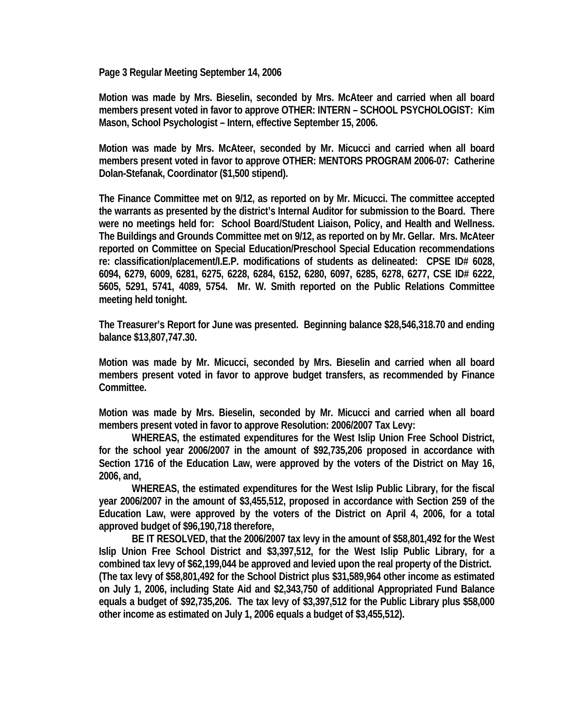**Page 3 Regular Meeting September 14, 2006** 

**Motion was made by Mrs. Bieselin, seconded by Mrs. McAteer and carried when all board members present voted in favor to approve OTHER: INTERN – SCHOOL PSYCHOLOGIST: Kim Mason, School Psychologist – Intern, effective September 15, 2006.** 

**Motion was made by Mrs. McAteer, seconded by Mr. Micucci and carried when all board members present voted in favor to approve OTHER: MENTORS PROGRAM 2006-07: Catherine Dolan-Stefanak, Coordinator (\$1,500 stipend).** 

**The Finance Committee met on 9/12, as reported on by Mr. Micucci. The committee accepted the warrants as presented by the district's Internal Auditor for submission to the Board. There were no meetings held for: School Board/Student Liaison, Policy, and Health and Wellness. The Buildings and Grounds Committee met on 9/12, as reported on by Mr. Gellar. Mrs. McAteer reported on Committee on Special Education/Preschool Special Education recommendations re: classification/placement/I.E.P. modifications of students as delineated: CPSE ID# 6028, 6094, 6279, 6009, 6281, 6275, 6228, 6284, 6152, 6280, 6097, 6285, 6278, 6277, CSE ID# 6222, 5605, 5291, 5741, 4089, 5754. Mr. W. Smith reported on the Public Relations Committee meeting held tonight.** 

**The Treasurer's Report for June was presented. Beginning balance \$28,546,318.70 and ending balance \$13,807,747.30.** 

**Motion was made by Mr. Micucci, seconded by Mrs. Bieselin and carried when all board members present voted in favor to approve budget transfers, as recommended by Finance Committee.** 

**Motion was made by Mrs. Bieselin, seconded by Mr. Micucci and carried when all board members present voted in favor to approve Resolution: 2006/2007 Tax Levy:** 

 **WHEREAS, the estimated expenditures for the West Islip Union Free School District, for the school year 2006/2007 in the amount of \$92,735,206 proposed in accordance with Section 1716 of the Education Law, were approved by the voters of the District on May 16, 2006, and,** 

 **WHEREAS, the estimated expenditures for the West Islip Public Library, for the fiscal year 2006/2007 in the amount of \$3,455,512, proposed in accordance with Section 259 of the Education Law, were approved by the voters of the District on April 4, 2006, for a total approved budget of \$96,190,718 therefore,** 

 **BE IT RESOLVED, that the 2006/2007 tax levy in the amount of \$58,801,492 for the West Islip Union Free School District and \$3,397,512, for the West Islip Public Library, for a combined tax levy of \$62,199,044 be approved and levied upon the real property of the District. (The tax levy of \$58,801,492 for the School District plus \$31,589,964 other income as estimated on July 1, 2006, including State Aid and \$2,343,750 of additional Appropriated Fund Balance equals a budget of \$92,735,206. The tax levy of \$3,397,512 for the Public Library plus \$58,000 other income as estimated on July 1, 2006 equals a budget of \$3,455,512).**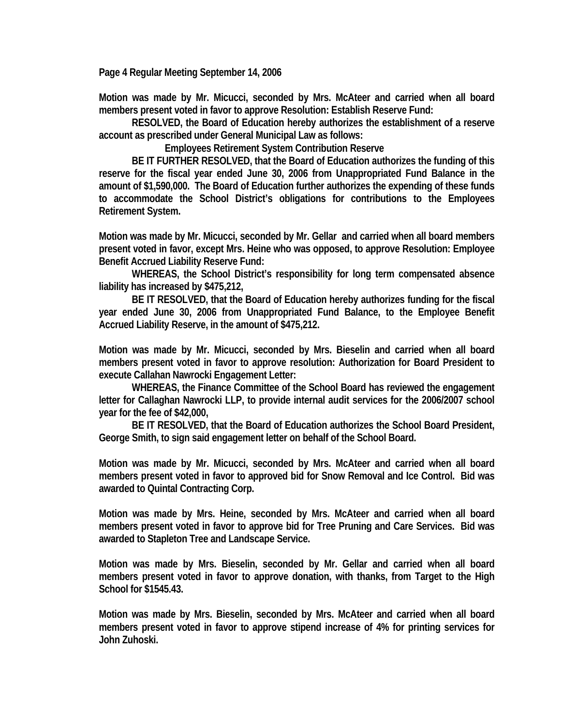**Page 4 Regular Meeting September 14, 2006** 

**Motion was made by Mr. Micucci, seconded by Mrs. McAteer and carried when all board members present voted in favor to approve Resolution: Establish Reserve Fund:** 

 **RESOLVED, the Board of Education hereby authorizes the establishment of a reserve account as prescribed under General Municipal Law as follows:** 

 **Employees Retirement System Contribution Reserve** 

 **BE IT FURTHER RESOLVED, that the Board of Education authorizes the funding of this reserve for the fiscal year ended June 30, 2006 from Unappropriated Fund Balance in the amount of \$1,590,000. The Board of Education further authorizes the expending of these funds to accommodate the School District's obligations for contributions to the Employees Retirement System.** 

**Motion was made by Mr. Micucci, seconded by Mr. Gellar and carried when all board members present voted in favor, except Mrs. Heine who was opposed, to approve Resolution: Employee Benefit Accrued Liability Reserve Fund:** 

 **WHEREAS, the School District's responsibility for long term compensated absence liability has increased by \$475,212,** 

 **BE IT RESOLVED, that the Board of Education hereby authorizes funding for the fiscal year ended June 30, 2006 from Unappropriated Fund Balance, to the Employee Benefit Accrued Liability Reserve, in the amount of \$475,212.** 

**Motion was made by Mr. Micucci, seconded by Mrs. Bieselin and carried when all board members present voted in favor to approve resolution: Authorization for Board President to execute Callahan Nawrocki Engagement Letter:** 

 **WHEREAS, the Finance Committee of the School Board has reviewed the engagement letter for Callaghan Nawrocki LLP, to provide internal audit services for the 2006/2007 school year for the fee of \$42,000,** 

 **BE IT RESOLVED, that the Board of Education authorizes the School Board President, George Smith, to sign said engagement letter on behalf of the School Board.** 

**Motion was made by Mr. Micucci, seconded by Mrs. McAteer and carried when all board members present voted in favor to approved bid for Snow Removal and Ice Control. Bid was awarded to Quintal Contracting Corp.** 

**Motion was made by Mrs. Heine, seconded by Mrs. McAteer and carried when all board members present voted in favor to approve bid for Tree Pruning and Care Services. Bid was awarded to Stapleton Tree and Landscape Service.** 

**Motion was made by Mrs. Bieselin, seconded by Mr. Gellar and carried when all board members present voted in favor to approve donation, with thanks, from Target to the High School for \$1545.43.** 

**Motion was made by Mrs. Bieselin, seconded by Mrs. McAteer and carried when all board members present voted in favor to approve stipend increase of 4% for printing services for John Zuhoski.**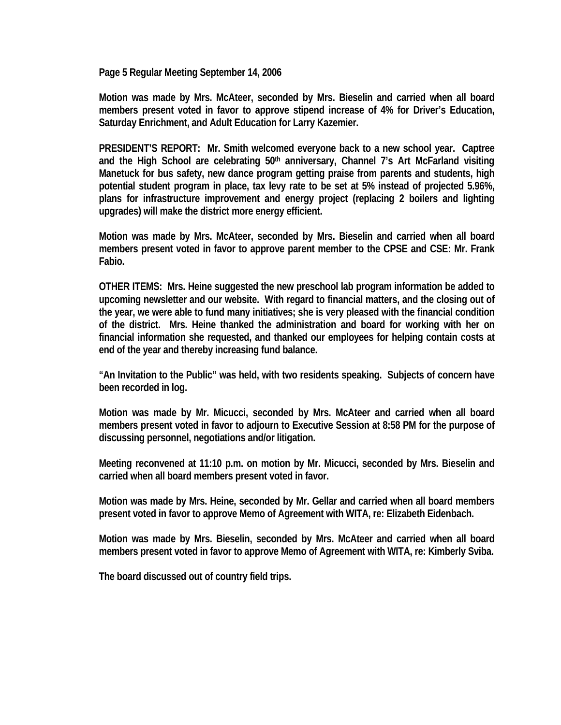**Page 5 Regular Meeting September 14, 2006** 

**Motion was made by Mrs. McAteer, seconded by Mrs. Bieselin and carried when all board members present voted in favor to approve stipend increase of 4% for Driver's Education, Saturday Enrichment, and Adult Education for Larry Kazemier.** 

**PRESIDENT'S REPORT: Mr. Smith welcomed everyone back to a new school year. Captree and the High School are celebrating 50th anniversary, Channel 7's Art McFarland visiting Manetuck for bus safety, new dance program getting praise from parents and students, high potential student program in place, tax levy rate to be set at 5% instead of projected 5.96%, plans for infrastructure improvement and energy project (replacing 2 boilers and lighting upgrades) will make the district more energy efficient.** 

**Motion was made by Mrs. McAteer, seconded by Mrs. Bieselin and carried when all board members present voted in favor to approve parent member to the CPSE and CSE: Mr. Frank Fabio.** 

**OTHER ITEMS: Mrs. Heine suggested the new preschool lab program information be added to upcoming newsletter and our website. With regard to financial matters, and the closing out of the year, we were able to fund many initiatives; she is very pleased with the financial condition of the district. Mrs. Heine thanked the administration and board for working with her on financial information she requested, and thanked our employees for helping contain costs at end of the year and thereby increasing fund balance.** 

**"An Invitation to the Public" was held, with two residents speaking. Subjects of concern have been recorded in log.** 

**Motion was made by Mr. Micucci, seconded by Mrs. McAteer and carried when all board members present voted in favor to adjourn to Executive Session at 8:58 PM for the purpose of discussing personnel, negotiations and/or litigation.** 

**Meeting reconvened at 11:10 p.m. on motion by Mr. Micucci, seconded by Mrs. Bieselin and carried when all board members present voted in favor.** 

**Motion was made by Mrs. Heine, seconded by Mr. Gellar and carried when all board members present voted in favor to approve Memo of Agreement with WITA, re: Elizabeth Eidenbach.** 

**Motion was made by Mrs. Bieselin, seconded by Mrs. McAteer and carried when all board members present voted in favor to approve Memo of Agreement with WITA, re: Kimberly Sviba.** 

**The board discussed out of country field trips.**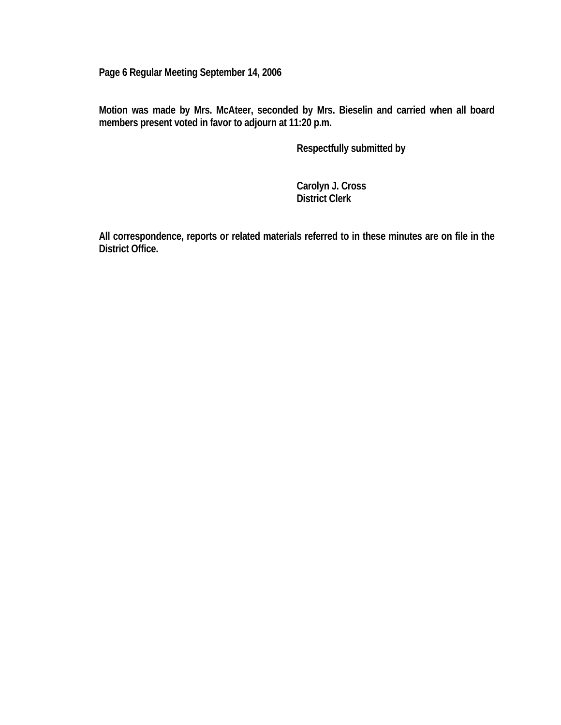**Page 6 Regular Meeting September 14, 2006** 

**Motion was made by Mrs. McAteer, seconded by Mrs. Bieselin and carried when all board members present voted in favor to adjourn at 11:20 p.m.** 

 **Respectfully submitted by** 

 **Carolyn J. Cross District Clerk** 

**All correspondence, reports or related materials referred to in these minutes are on file in the District Office.**